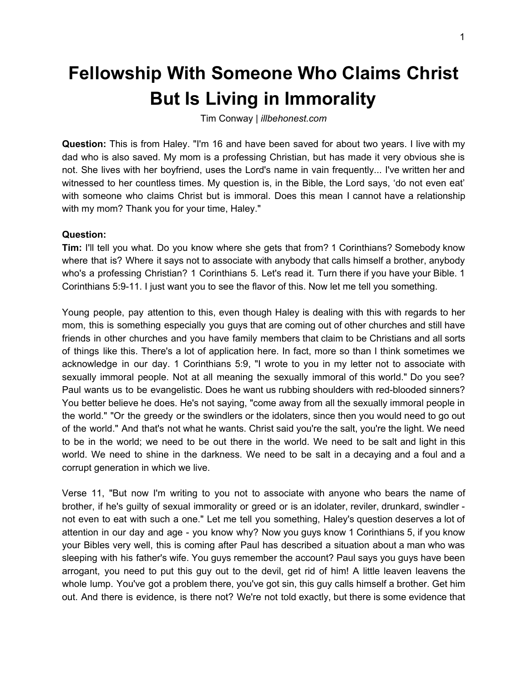## **Fellowship With Someone Who Claims Christ But Is Living in Immorality**

Tim Conway | *illbehonest.com*

**Question:** This is from Haley. "I'm 16 and have been saved for about two years. I live with my dad who is also saved. My mom is a professing Christian, but has made it very obvious she is not. She lives with her boyfriend, uses the Lord's name in vain frequently... I've written her and witnessed to her countless times. My question is, in the Bible, the Lord says, 'do not even eat' with someone who claims Christ but is immoral. Does this mean I cannot have a relationship with my mom? Thank you for your time, Haley."

## **Question:**

**Tim:** I'll tell you what. Do you know where she gets that from? 1 Corinthians? Somebody know where that is? Where it says not to associate with anybody that calls himself a brother, anybody who's a professing Christian? 1 Corinthians 5. Let's read it. Turn there if you have your Bible. 1 Corinthians 5:9-11. I just want you to see the flavor of this. Now let me tell you something.

Young people, pay attention to this, even though Haley is dealing with this with regards to her mom, this is something especially you guys that are coming out of other churches and still have friends in other churches and you have family members that claim to be Christians and all sorts of things like this. There's a lot of application here. In fact, more so than I think sometimes we acknowledge in our day. 1 Corinthians 5:9, "I wrote to you in my letter not to associate with sexually immoral people. Not at all meaning the sexually immoral of this world." Do you see? Paul wants us to be evangelistic. Does he want us rubbing shoulders with red-blooded sinners? You better believe he does. He's not saying, "come away from all the sexually immoral people in the world." "Or the greedy or the swindlers or the idolaters, since then you would need to go out of the world." And that's not what he wants. Christ said you're the salt, you're the light. We need to be in the world; we need to be out there in the world. We need to be salt and light in this world. We need to shine in the darkness. We need to be salt in a decaying and a foul and a corrupt generation in which we live.

Verse 11, "But now I'm writing to you not to associate with anyone who bears the name of brother, if he's guilty of sexual immorality or greed or is an idolater, reviler, drunkard, swindler not even to eat with such a one." Let me tell you something, Haley's question deserves a lot of attention in our day and age - you know why? Now you guys know 1 Corinthians 5, if you know your Bibles very well, this is coming after Paul has described a situation about a man who was sleeping with his father's wife. You guys remember the account? Paul says you guys have been arrogant, you need to put this guy out to the devil, get rid of him! A little leaven leavens the whole lump. You've got a problem there, you've got sin, this guy calls himself a brother. Get him out. And there is evidence, is there not? We're not told exactly, but there is some evidence that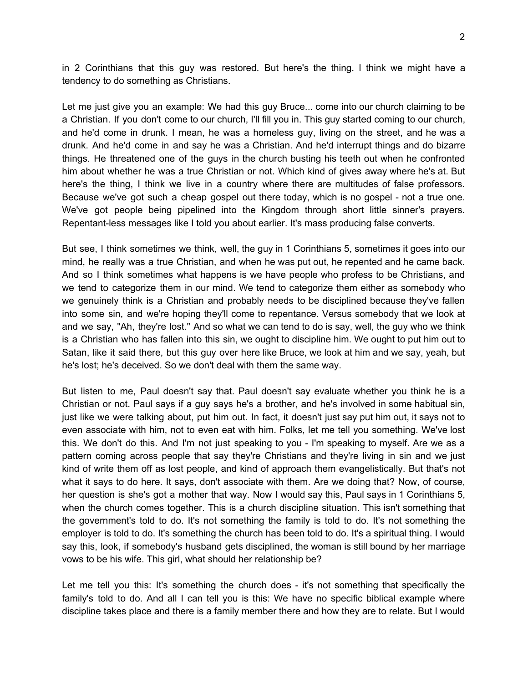in 2 Corinthians that this guy was restored. But here's the thing. I think we might have a tendency to do something as Christians.

Let me just give you an example: We had this guy Bruce... come into our church claiming to be a Christian. If you don't come to our church, I'll fill you in. This guy started coming to our church, and he'd come in drunk. I mean, he was a homeless guy, living on the street, and he was a drunk. And he'd come in and say he was a Christian. And he'd interrupt things and do bizarre things. He threatened one of the guys in the church busting his teeth out when he confronted him about whether he was a true Christian or not. Which kind of gives away where he's at. But here's the thing, I think we live in a country where there are multitudes of false professors. Because we've got such a cheap gospel out there today, which is no gospel - not a true one. We've got people being pipelined into the Kingdom through short little sinner's prayers. Repentant-less messages like I told you about earlier. It's mass producing false converts.

But see, I think sometimes we think, well, the guy in 1 Corinthians 5, sometimes it goes into our mind, he really was a true Christian, and when he was put out, he repented and he came back. And so I think sometimes what happens is we have people who profess to be Christians, and we tend to categorize them in our mind. We tend to categorize them either as somebody who we genuinely think is a Christian and probably needs to be disciplined because they've fallen into some sin, and we're hoping they'll come to repentance. Versus somebody that we look at and we say, "Ah, they're lost." And so what we can tend to do is say, well, the guy who we think is a Christian who has fallen into this sin, we ought to discipline him. We ought to put him out to Satan, like it said there, but this guy over here like Bruce, we look at him and we say, yeah, but he's lost; he's deceived. So we don't deal with them the same way.

But listen to me, Paul doesn't say that. Paul doesn't say evaluate whether you think he is a Christian or not. Paul says if a guy says he's a brother, and he's involved in some habitual sin, just like we were talking about, put him out. In fact, it doesn't just say put him out, it says not to even associate with him, not to even eat with him. Folks, let me tell you something. We've lost this. We don't do this. And I'm not just speaking to you - I'm speaking to myself. Are we as a pattern coming across people that say they're Christians and they're living in sin and we just kind of write them off as lost people, and kind of approach them evangelistically. But that's not what it says to do here. It says, don't associate with them. Are we doing that? Now, of course, her question is she's got a mother that way. Now I would say this, Paul says in 1 Corinthians 5, when the church comes together. This is a church discipline situation. This isn't something that the government's told to do. It's not something the family is told to do. It's not something the employer is told to do. It's something the church has been told to do. It's a spiritual thing. I would say this, look, if somebody's husband gets disciplined, the woman is still bound by her marriage vows to be his wife. This girl, what should her relationship be?

Let me tell you this: It's something the church does - it's not something that specifically the family's told to do. And all I can tell you is this: We have no specific biblical example where discipline takes place and there is a family member there and how they are to relate. But I would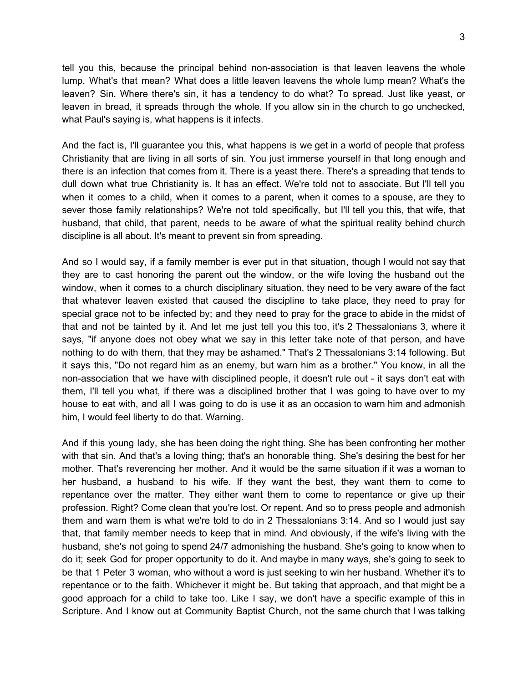tell you this, because the principal behind non-association is that leaven leavens the whole lump. What's that mean? What does a little leaven leavens the whole lump mean? What's the leaven? Sin. Where there's sin, it has a tendency to do what? To spread. Just like yeast, or leaven in bread, it spreads through the whole. If you allow sin in the church to go unchecked, what Paul's saying is, what happens is it infects.

And the fact is, I'll guarantee you this, what happens is we get in a world of people that profess Christianity that are living in all sorts of sin. You just immerse yourself in that long enough and there is an infection that comes from it. There is a yeast there. There's a spreading that tends to dull down what true Christianity is. It has an effect. We're told not to associate. But I'll tell you when it comes to a child, when it comes to a parent, when it comes to a spouse, are they to sever those family relationships? We're not told specifically, but I'll tell you this, that wife, that husband, that child, that parent, needs to be aware of what the spiritual reality behind church discipline is all about. It's meant to prevent sin from spreading.

And so I would say, if a family member is ever put in that situation, though I would not say that they are to cast honoring the parent out the window, or the wife loving the husband out the window, when it comes to a church disciplinary situation, they need to be very aware of the fact that whatever leaven existed that caused the discipline to take place, they need to pray for special grace not to be infected by; and they need to pray for the grace to abide in the midst of that and not be tainted by it. And let me just tell you this too, it's 2 Thessalonians 3, where it says, "if anyone does not obey what we say in this letter take note of that person, and have nothing to do with them, that they may be ashamed." That's 2 Thessalonians 3:14 following. But it says this, "Do not regard him as an enemy, but warn him as a brother." You know, in all the non-association that we have with disciplined people, it doesn't rule out - it says don't eat with them, I'll tell you what, if there was a disciplined brother that I was going to have over to my house to eat with, and all I was going to do is use it as an occasion to warn him and admonish him, I would feel liberty to do that. Warning.

And if this young lady, she has been doing the right thing. She has been confronting her mother with that sin. And that's a loving thing; that's an honorable thing. She's desiring the best for her mother. That's reverencing her mother. And it would be the same situation if it was a woman to her husband, a husband to his wife. If they want the best, they want them to come to repentance over the matter. They either want them to come to repentance or give up their profession. Right? Come clean that you're lost. Or repent. And so to press people and admonish them and warn them is what we're told to do in 2 Thessalonians 3:14. And so I would just say that, that family member needs to keep that in mind. And obviously, if the wife's living with the husband, she's not going to spend 24/7 admonishing the husband. She's going to know when to do it; seek God for proper opportunity to do it. And maybe in many ways, she's going to seek to be that 1 Peter 3 woman, who without a word is just seeking to win her husband. Whether it's to repentance or to the faith. Whichever it might be. But taking that approach, and that might be a good approach for a child to take too. Like I say, we don't have a specific example of this in Scripture. And I know out at Community Baptist Church, not the same church that I was talking